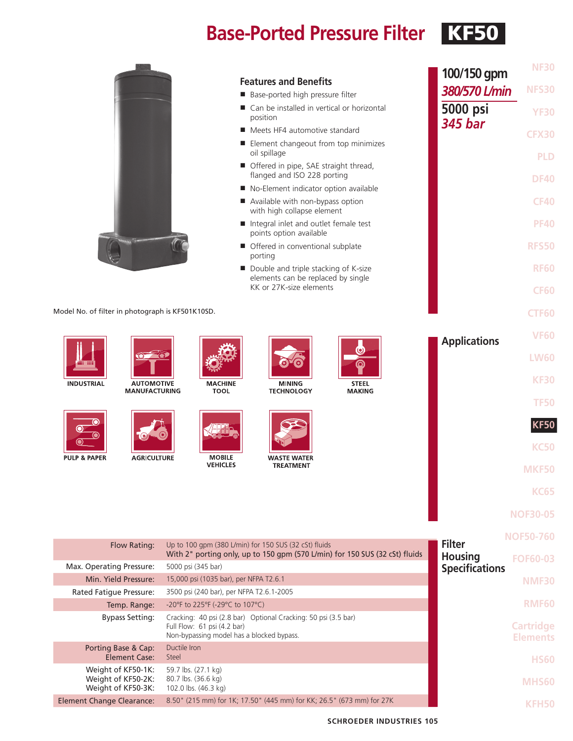## **Base-Ported Pressure Filter KF50**

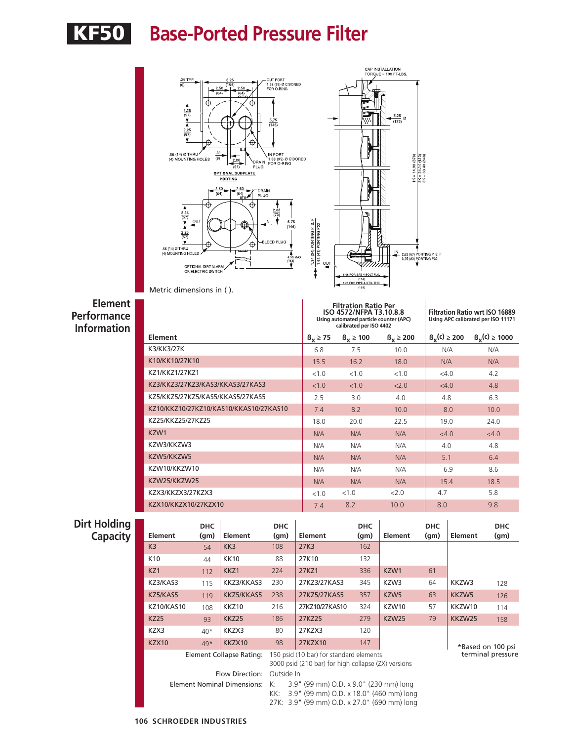# KF50 **Base-Ported Pressure Filter**



Metric dimensions in ( ).

**Element Performance Information**

|                                        |                   | <b>Filtration Ratio Per</b><br>ISO 4572/NFPA T3.10.8.8<br>Using automated particle counter (APC)<br>calibrated per ISO 4402 | <b>Filtration Ratio wrt ISO 16889</b><br>Using APC calibrated per ISO 11171 |                    |                     |
|----------------------------------------|-------------------|-----------------------------------------------------------------------------------------------------------------------------|-----------------------------------------------------------------------------|--------------------|---------------------|
| Element                                | $\beta_x \geq 75$ | $B_x \ge 100$                                                                                                               | $B_v \ge 200$                                                               | $B_{x}(c) \ge 200$ | $B_{x}(c) \ge 1000$ |
| K3/KK3/27K                             | 6.8               | 7.5                                                                                                                         | 10.0                                                                        | N/A                | N/A                 |
| K10/KK10/27K10                         | 15.5              | 16.2                                                                                                                        | 18.0                                                                        | N/A                | N/A                 |
| KZ1/KKZ1/27KZ1                         | <1.0              | < 1.0                                                                                                                       | <1.0                                                                        | <4.0               | 4.2                 |
| KZ3/KKZ3/27KZ3/KAS3/KKAS3/27KAS3       | <1.0              | < 1.0                                                                                                                       | 2.0                                                                         | <4.0               | 4.8                 |
| KZ5/KKZ5/27KZ5/KAS5/KKAS5/27KAS5       | 2.5               | 3.0                                                                                                                         | 4.0                                                                         | 4.8                | 6.3                 |
| KZ10/KKZ10/27KZ10/KAS10/KKAS10/27KAS10 | 7.4               | 8.2                                                                                                                         | 10.0                                                                        | 8.0                | 10.0                |
| KZ25/KKZ25/27KZ25                      | 18.0              | 20.0                                                                                                                        | 22.5                                                                        | 19.0               | 24.0                |
| KZW1                                   | N/A               | N/A                                                                                                                         | N/A                                                                         | <4.0               | <4.0                |
| KZW3/KKZW3                             | N/A               | N/A                                                                                                                         | N/A                                                                         | 4.0                | 4.8                 |
| KZW5/KKZW5                             | N/A               | N/A                                                                                                                         | N/A                                                                         | 5.1                | 6.4                 |
| KZW10/KKZW10                           | N/A               | N/A                                                                                                                         | N/A                                                                         | 6.9                | 8.6                 |
| KZW25/KKZW25                           | N/A               | N/A                                                                                                                         | N/A                                                                         | 15.4               | 18.5                |
| KZX3/KKZX3/27KZX3                      | < 10              | <1.0                                                                                                                        | 2.0                                                                         | 4.7                | 5.8                 |
| KZX10/KKZX10/27KZX10                   | 7.4               | 8.2                                                                                                                         | 10.0                                                                        | 8.0                | 9.8                 |

## **Dirt Holdi**<br>Capac

| <b>Holding</b><br><b>Capacity</b> | Element           | <b>DHC</b><br>(qm) | Element                            | <b>DHC</b><br>(qm) | Element                                                                                                                           | <b>DHC</b><br>(g <sub>m</sub> ) | Element          | <b>DHC</b><br>(qm) | Element           | <b>DHC</b><br>(g <sub>m</sub> ) |  |  |
|-----------------------------------|-------------------|--------------------|------------------------------------|--------------------|-----------------------------------------------------------------------------------------------------------------------------------|---------------------------------|------------------|--------------------|-------------------|---------------------------------|--|--|
|                                   | K <sub>3</sub>    | 54                 | KK3                                | 108                | 27K3                                                                                                                              | 162                             |                  |                    |                   |                                 |  |  |
|                                   | K <sub>10</sub>   | 44                 | <b>KK10</b>                        | 88                 | 27K10                                                                                                                             | 132                             |                  |                    |                   |                                 |  |  |
|                                   | KZ1               | 112                | KKZ1                               | 224                | 27KZ1                                                                                                                             | 336                             | KZW1             | 61                 |                   |                                 |  |  |
|                                   | KZ3/KAS3          | 115                | KKZ3/KKAS3                         | 230                | 27KZ3/27KAS3                                                                                                                      | 345                             | KZW3             | 64                 | KKZW3             | 128                             |  |  |
|                                   | KZ5/KAS5          | 119                | KKZ5/KKAS5                         | 238                | 27KZ5/27KAS5                                                                                                                      | 357                             | KZW <sub>5</sub> | 63                 | KKZW5             | 126                             |  |  |
|                                   | <b>KZ10/KAS10</b> | 108                | KKZ10                              | 216                | 27KZ10/27KAS10                                                                                                                    | 324                             | KZW10            | 57                 | KKZW10            | 114                             |  |  |
|                                   | <b>KZ25</b>       | 93                 | KKZ25                              | 186                | 27KZ25                                                                                                                            | 279                             | KZW25            | 79                 | KKZW25            | 158                             |  |  |
|                                   | KZX3              | $40*$              | KKZX3                              | 80                 | 27KZX3                                                                                                                            | 120                             |                  |                    |                   |                                 |  |  |
|                                   | <b>KZX10</b>      | $49*$              | KKZX10                             | 98                 | 27KZX10                                                                                                                           | 147                             |                  | *Based on 100 psi  |                   |                                 |  |  |
|                                   |                   |                    | Element Collapse Rating:           |                    | 150 psid (10 bar) for standard elements<br>3000 psid (210 bar) for high collapse (ZX) versions                                    |                                 |                  |                    | terminal pressure |                                 |  |  |
|                                   |                   |                    | Flow Direction:                    | Outside In         |                                                                                                                                   |                                 |                  |                    |                   |                                 |  |  |
|                                   |                   |                    | <b>Element Nominal Dimensions:</b> | K:<br>KK:          | 3.9" (99 mm) O.D. x 9.0" (230 mm) long<br>3.9" (99 mm) O.D. x 18.0" (460 mm) long<br>27K: 3.9" (99 mm) O.D. x 27.0" (690 mm) long |                                 |                  |                    |                   |                                 |  |  |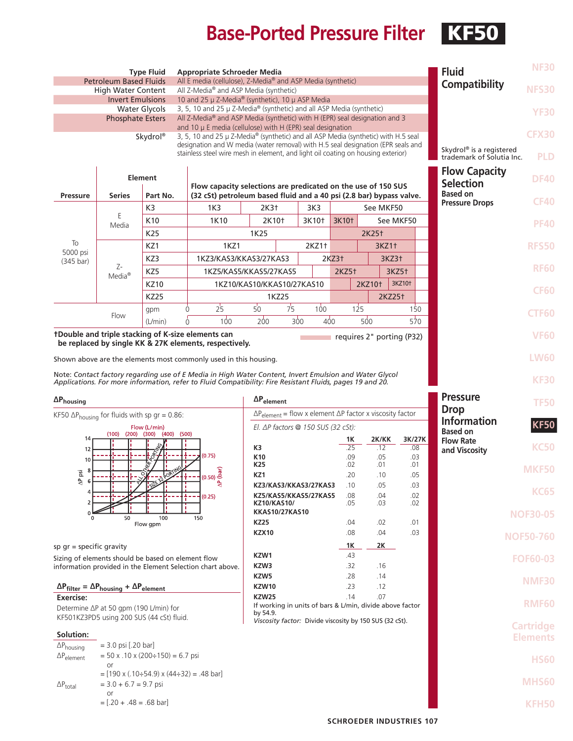## **Base-Ported Pressure Filter KF50**

| <b>Type Fluid</b><br><b>Appropriate Schroeder Media</b><br>All E media (cellulose), Z-Media® and ASP Media (synthetic)<br><b>Petroleum Based Fluids</b><br>All Z-Media <sup>®</sup> and ASP Media (synthetic)<br><b>High Water Content</b>                             |                                |                                            |                                                                                                                                                                                                                     |                                                                                                                                      |                                                                                                    |                                                         |                   |                                     |                                                                   | <b>Fluid</b><br>Compatibility         | <b>NF30</b><br><b>NFS30</b> |                  |
|------------------------------------------------------------------------------------------------------------------------------------------------------------------------------------------------------------------------------------------------------------------------|--------------------------------|--------------------------------------------|---------------------------------------------------------------------------------------------------------------------------------------------------------------------------------------------------------------------|--------------------------------------------------------------------------------------------------------------------------------------|----------------------------------------------------------------------------------------------------|---------------------------------------------------------|-------------------|-------------------------------------|-------------------------------------------------------------------|---------------------------------------|-----------------------------|------------------|
| 10 and 25 $\mu$ Z-Media® (synthetic), 10 $\mu$ ASP Media<br><b>Invert Emulsions</b><br>3, 5, 10 and 25 µ Z-Media® (synthetic) and all ASP Media (synthetic)<br><b>Water Glycols</b>                                                                                    |                                |                                            |                                                                                                                                                                                                                     |                                                                                                                                      |                                                                                                    |                                                         |                   |                                     |                                                                   |                                       | <b>YF30</b>                 |                  |
| All Z-Media® and ASP Media (synthetic) with H (EPR) seal designation and 3<br><b>Phosphate Esters</b><br>and 10 $\mu$ E media (cellulose) with H (EPR) seal designation                                                                                                |                                |                                            |                                                                                                                                                                                                                     |                                                                                                                                      |                                                                                                    |                                                         |                   |                                     |                                                                   |                                       |                             |                  |
| Skydrol®<br>3, 5, 10 and 25 µ Z-Media® (synthetic) and all ASP Media (synthetic) with H.5 seal<br>designation and W media (water removal) with H.5 seal designation (EPR seals and<br>stainless steel wire mesh in element, and light oil coating on housing exterior) |                                |                                            |                                                                                                                                                                                                                     |                                                                                                                                      |                                                                                                    |                                                         |                   |                                     | Skydrol <sup>®</sup> is a registered<br>trademark of Solutia Inc. | <b>CFX30</b><br><b>PLD</b>            |                             |                  |
|                                                                                                                                                                                                                                                                        |                                | <b>Element</b>                             |                                                                                                                                                                                                                     |                                                                                                                                      | <b>Flow Capacity</b><br><b>Selection</b>                                                           | <b>DF40</b>                                             |                   |                                     |                                                                   |                                       |                             |                  |
| <b>Pressure</b>                                                                                                                                                                                                                                                        | <b>Series</b>                  | Part No.                                   |                                                                                                                                                                                                                     | Flow capacity selections are predicated on the use of 150 SUS<br>(32 cSt) petroleum based fluid and a 40 psi (2.8 bar) bypass valve. |                                                                                                    |                                                         |                   |                                     |                                                                   |                                       |                             |                  |
|                                                                                                                                                                                                                                                                        |                                | K <sub>3</sub>                             | 1K3                                                                                                                                                                                                                 | 2K3 <sup>+</sup><br>3K3<br>See MKF50                                                                                                 |                                                                                                    |                                                         |                   |                                     |                                                                   | <b>Pressure Drops</b>                 | <b>CF40</b>                 |                  |
|                                                                                                                                                                                                                                                                        | Ε<br>Media                     | K10                                        | 1K10                                                                                                                                                                                                                |                                                                                                                                      | 2K10†                                                                                              | 3K10†                                                   | 3K10 <sup>+</sup> |                                     | See MKF50                                                         |                                       |                             | <b>PF40</b>      |
| To                                                                                                                                                                                                                                                                     |                                | K25                                        |                                                                                                                                                                                                                     | 1K25                                                                                                                                 |                                                                                                    |                                                         |                   | 2K25 <sup>+</sup>                   |                                                                   |                                       |                             |                  |
| 5000 psi                                                                                                                                                                                                                                                               |                                | KZ1<br>KZ3                                 | 1KZ1<br>1KZ3/KAS3/KKAS3/27KAS3                                                                                                                                                                                      |                                                                                                                                      |                                                                                                    | 2KZ1+                                                   | 2KZ3              | 3KZ1+<br>3KZ3+<br>3KZ5 <sup>+</sup> |                                                                   |                                       |                             | <b>RFS50</b>     |
| $(345 \text{ bar})$                                                                                                                                                                                                                                                    | Z-                             | KZ5                                        | 1KZ5/KAS5/KKAS5/27KAS5                                                                                                                                                                                              |                                                                                                                                      |                                                                                                    |                                                         | 2KZ5 <sup>+</sup> |                                     |                                                                   |                                       |                             | <b>RF60</b>      |
|                                                                                                                                                                                                                                                                        | Media <sup>®</sup>             | <b>KZ10</b>                                |                                                                                                                                                                                                                     |                                                                                                                                      |                                                                                                    | 1KZ10/KAS10/KKAS10/27KAS10                              |                   | 2KZ10 <sup>+</sup>                  |                                                                   | 3KZ10 <sup>+</sup>                    |                             |                  |
|                                                                                                                                                                                                                                                                        |                                | <b>KZ25</b>                                |                                                                                                                                                                                                                     |                                                                                                                                      | 1KZ25                                                                                              |                                                         |                   |                                     | 2KZ25 <sup>+</sup>                                                |                                       |                             | <b>CF60</b>      |
|                                                                                                                                                                                                                                                                        | Flow                           | gpm                                        | 25<br>0                                                                                                                                                                                                             | $50^{\circ}$                                                                                                                         | 7 <sub>5</sub>                                                                                     | 100                                                     |                   | 125                                 | 150                                                               |                                       |                             | <b>CTF60</b>     |
| 200<br>300<br>400<br>500<br>100<br>570<br>(L/min)<br>0                                                                                                                                                                                                                 |                                |                                            |                                                                                                                                                                                                                     |                                                                                                                                      |                                                                                                    |                                                         |                   |                                     |                                                                   |                                       |                             |                  |
| tDouble and triple stacking of K-size elements can<br>requires 2" porting (P32)<br>be replaced by single KK & 27K elements, respectively.                                                                                                                              |                                |                                            |                                                                                                                                                                                                                     |                                                                                                                                      |                                                                                                    |                                                         |                   |                                     |                                                                   |                                       | <b>VF60</b>                 |                  |
| Shown above are the elements most commonly used in this housing.                                                                                                                                                                                                       |                                |                                            |                                                                                                                                                                                                                     |                                                                                                                                      |                                                                                                    |                                                         |                   |                                     |                                                                   |                                       | <b>LW60</b>                 |                  |
|                                                                                                                                                                                                                                                                        |                                |                                            | Note: Contact factory regarding use of E Media in High Water Content, Invert Emulsion and Water Glycol<br>Applications. For more information, refer to Fluid Compatibility: Fire Resistant Fluids, pages 19 and 20. |                                                                                                                                      |                                                                                                    |                                                         |                   |                                     |                                                                   |                                       |                             | <b>KF30</b>      |
| $\Delta P_{\text{housing}}$                                                                                                                                                                                                                                            |                                |                                            |                                                                                                                                                                                                                     | $\Delta P_{element}$                                                                                                                 |                                                                                                    |                                                         |                   |                                     |                                                                   |                                       | <b>Pressure</b>             | <b>TF50</b>      |
| KF50 $\Delta P_{\text{housing}}$ for fluids with sp gr = 0.86:                                                                                                                                                                                                         |                                |                                            |                                                                                                                                                                                                                     | $\Delta P_{element}$ = flow x element $\Delta P$ factor x viscosity factor                                                           |                                                                                                    |                                                         |                   |                                     |                                                                   | <b>Drop</b>                           |                             |                  |
| Flow (L/min)<br>$(200)$ $(300)$ $(400)$ $(500)$<br>(100)                                                                                                                                                                                                               |                                |                                            |                                                                                                                                                                                                                     | El. $\Delta P$ factors @ 150 SUS (32 cSt):                                                                                           |                                                                                                    |                                                         |                   |                                     |                                                                   | <b>Information</b><br><b>Based on</b> | <b>KF50</b>                 |                  |
| 14<br>12<br>தி<br>л.<br>(0.75)<br>10<br>$(0.50)$ $\underbrace{60}$<br>ig<br>ΟÏ<br>256                                                                                                                                                                                  |                                |                                            | K3                                                                                                                                                                                                                  |                                                                                                                                      |                                                                                                    | 1Κ<br>.25                                               | 2K/KK<br>.12      |                                     | 3K/27K<br>.08                                                     | <b>Flow Rate</b>                      | <b>KC50</b>                 |                  |
|                                                                                                                                                                                                                                                                        |                                |                                            | K <sub>10</sub>                                                                                                                                                                                                     |                                                                                                                                      |                                                                                                    | .09                                                     |                   | .05                                 | .03                                                               | and Viscosity                         |                             |                  |
|                                                                                                                                                                                                                                                                        |                                |                                            | K25<br>KZ1                                                                                                                                                                                                          |                                                                                                                                      |                                                                                                    | .02<br>.20                                              |                   | .01<br>.10                          | .01<br>.05                                                        |                                       | <b>MKF50</b>                |                  |
|                                                                                                                                                                                                                                                                        |                                |                                            |                                                                                                                                                                                                                     |                                                                                                                                      | KZ3/KAS3/KKAS3/27KAS3                                                                              | .10                                                     |                   | .05                                 | .03                                                               |                                       | <b>KC65</b>                 |                  |
|                                                                                                                                                                                                                                                                        |                                |                                            | (0.25)                                                                                                                                                                                                              | KZ5/KAS5/KKAS5/27KAS5<br><b>KZ10/KAS10/</b><br><b>KKAS10/27KAS10</b>                                                                 |                                                                                                    |                                                         | .08<br>.05        |                                     | .04<br>.03                                                        | .02<br>.02                            |                             |                  |
|                                                                                                                                                                                                                                                                        | 50                             | 100                                        | 150                                                                                                                                                                                                                 |                                                                                                                                      |                                                                                                    |                                                         |                   |                                     |                                                                   |                                       |                             | <b>NOF30-05</b>  |
|                                                                                                                                                                                                                                                                        |                                | Flow gpm                                   |                                                                                                                                                                                                                     | <b>KZ25</b><br><b>KZX10</b>                                                                                                          |                                                                                                    |                                                         | .04<br>.08        |                                     | .02<br>.04                                                        | .01<br>.03                            |                             |                  |
| sp $gr = specific gravity$                                                                                                                                                                                                                                             |                                |                                            |                                                                                                                                                                                                                     |                                                                                                                                      |                                                                                                    |                                                         | 1Κ                |                                     | 2K                                                                |                                       |                             | <b>NOF50-760</b> |
| Sizing of elements should be based on element flow                                                                                                                                                                                                                     |                                |                                            | information provided in the Element Selection chart above.                                                                                                                                                          | KZW1<br>KZW3                                                                                                                         |                                                                                                    |                                                         | .43<br>.32        |                                     | .16                                                               |                                       |                             | <b>FOF60-03</b>  |
|                                                                                                                                                                                                                                                                        |                                |                                            |                                                                                                                                                                                                                     | KZW5                                                                                                                                 |                                                                                                    |                                                         | .28               |                                     | .14                                                               |                                       |                             | <b>NMF30</b>     |
| $\Delta P_{filter} = \Delta P_{housing} + \Delta P_{element}$                                                                                                                                                                                                          |                                |                                            |                                                                                                                                                                                                                     | KZW10                                                                                                                                |                                                                                                    |                                                         | .23               |                                     | .12                                                               |                                       |                             |                  |
| Exercise:<br>Determine $\Delta P$ at 50 gpm (190 L/min) for                                                                                                                                                                                                            |                                |                                            |                                                                                                                                                                                                                     |                                                                                                                                      | <b>KZW25</b><br>.14<br>.07<br>If working in units of bars & L/min, divide above factor<br>by 54.9. |                                                         |                   |                                     |                                                                   |                                       | <b>RMF60</b>                |                  |
|                                                                                                                                                                                                                                                                        |                                | KF501KZ3PD5 using 200 SUS (44 cSt) fluid.  |                                                                                                                                                                                                                     |                                                                                                                                      |                                                                                                    | Viscosity factor: Divide viscosity by 150 SUS (32 cSt). |                   |                                     |                                                                   |                                       |                             | <b>Cartridge</b> |
| Solution:<br>$\Delta P_{\text{housing}}$                                                                                                                                                                                                                               | $= 3.0$ psi [.20 bar]          |                                            |                                                                                                                                                                                                                     |                                                                                                                                      |                                                                                                    |                                                         |                   |                                     |                                                                   |                                       |                             | <b>Elements</b>  |
| $\Delta P_{element}$                                                                                                                                                                                                                                                   | <b>or</b>                      | $= 50$ x .10 x (200÷150) = 6.7 psi         |                                                                                                                                                                                                                     |                                                                                                                                      |                                                                                                    |                                                         |                   |                                     |                                                                   |                                       |                             | <b>HS60</b>      |
| $\Delta P_{total}$                                                                                                                                                                                                                                                     | $= 3.0 + 6.7 = 9.7$ psi        | $=$ [190 x (.10÷54.9) x (44÷32) = .48 bar] |                                                                                                                                                                                                                     |                                                                                                                                      |                                                                                                    |                                                         |                   |                                     |                                                                   |                                       |                             | <b>MHS60</b>     |
|                                                                                                                                                                                                                                                                        | or<br>$=[.20 + .48 = .68$ bar] |                                            |                                                                                                                                                                                                                     |                                                                                                                                      |                                                                                                    |                                                         |                   |                                     |                                                                   |                                       |                             | KFH50            |
|                                                                                                                                                                                                                                                                        |                                |                                            |                                                                                                                                                                                                                     |                                                                                                                                      |                                                                                                    |                                                         |                   |                                     |                                                                   | <b>SCHROEDER INDUSTRIES 107</b>       |                             |                  |